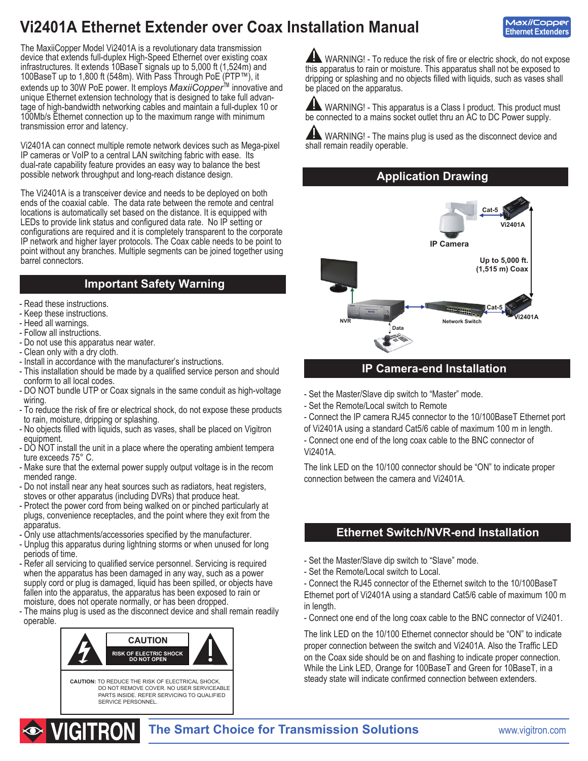# **Vi2401A Ethernet Extender over Coax Installation Manual**

**MaxiiCopper Ethernet Extenders**

The MaxiiCopper Model Vi2401A is a revolutionary data transmission device that extends full-duplex High-Speed Ethernet over existing coax infrastructures. It extends 10BaseT signals up to 5,000 ft (1,524m) and 100BaseT up to 1,800 ft (548m). With Pass Through PoE (PTP™), it extends up to 30W PoE power. It employs *MaxiiCopper*™ innovative and unique Ethernet extension technology that is designed to take full advantage of high-bandwidth networking cables and maintain a full-duplex 10 or 100Mb/s Ethernet connection up to the maximum range with minimum transmission error and latency.

Vi2401A can connect multiple remote network devices such as Mega-pixel IP cameras or VoIP to a central LAN switching fabric with ease. Its dual-rate capability feature provides an easy way to balance the best possible network throughput and long-reach distance design.

The Vi2401A is a transceiver device and needs to be deployed on both ends of the coaxial cable. The data rate between the remote and central locations is automatically set based on the distance. It is equipped with LEDs to provide link status and configured data rate. No IP setting or configurations are required and it is completely transparent to the corporate IP network and higher layer protocols. The Coax cable needs to be point to point without any branches. Multiple segments can be joined together using barrel connectors.

## **Important Safety Warning**

- Read these instructions.
- Keep these instructions.
- Heed all warnings.
- Follow all instructions.
- Do not use this apparatus near water.
- Clean only with a dry cloth.
- Install in accordance with the manufacturer's instructions.
- This installation should be made by a qualified service person and should conform to all local codes.
- DO NOT bundle UTP or Coax signals in the same conduit as high-voltage wiring.
- To reduce the risk of fire or electrical shock, do not expose these products to rain, moisture, dripping or splashing.
- No objects filled with liquids, such as vases, shall be placed on Vigitron equipment.
- DO NOT install the unit in a place where the operating ambient tempera ture exceeds 75° C.
- Make sure that the external power supply output voltage is in the recom mended range.
- Do not install near any heat sources such as radiators, heat registers, stoves or other apparatus (including DVRs) that produce heat.
- Protect the power cord from being walked on or pinched particularly at plugs, convenience receptacles, and the point where they exit from the apparatus.
- Only use attachments/accessories specified by the manufacturer.
- Unplug this apparatus during lightning storms or when unused for long periods of time.
- Refer all servicing to qualified service personnel. Servicing is required when the apparatus has been damaged in any way, such as a power supply cord or plug is damaged, liquid has been spilled, or objects have fallen into the apparatus, the apparatus has been exposed to rain or moisture, does not operate normally, or has been dropped.
- The mains plug is used as the disconnect device and shall remain readily operable.



WARNING! - To reduce the risk of fire or electric shock, do not expose this apparatus to rain or moisture. This apparatus shall not be exposed to dripping or splashing and no objects filled with liquids, such as vases shall be placed on the apparatus.

 WARNING! - This apparatus is a Class I product. This product must be connected to a mains socket outlet thru an AC to DC Power supply.

 WARNING! - The mains plug is used as the disconnect device and shall remain readily operable.

### **Application Drawing**



## **IP Camera-end Installation**

- Set the Master/Slave dip switch to "Master" mode.
- Set the Remote/Local switch to Remote
- Connect the IP camera RJ45 connector to the 10/100BaseT Ethernet port
- of Vi2401A using a standard Cat5/6 cable of maximum 100 m in length.

- Connect one end of the long coax cable to the BNC connector of Vi2401A.

The link LED on the 10/100 connector should be "ON" to indicate proper connection between the camera and Vi2401A.

## **Ethernet Switch/NVR-end Installation**

- Set the Master/Slave dip switch to "Slave" mode.
- Set the Remote/Local switch to Local.

- Connect the RJ45 connector of the Ethernet switch to the 10/100BaseT Ethernet port of Vi2401A using a standard Cat5/6 cable of maximum 100 m in length.

- Connect one end of the long coax cable to the BNC connector of Vi2401.

The link LED on the 10/100 Ethernet connector should be "ON" to indicate proper connection between the switch and Vi2401A. Also the Traffic LED on the Coax side should be on and flashing to indicate proper connection. While the Link LED, Orange for 100BaseT and Green for 10BaseT, in a steady state will indicate confirmed connection between extenders.